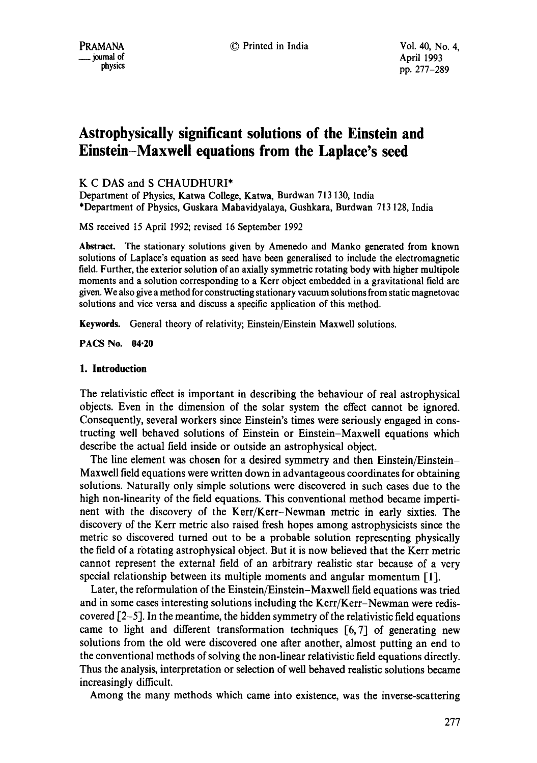# **Astrophysically significant solutions of the Einstein and Einstein-Maxwell equations from the Laplace's seed**

## K C DAS and S CHAUDHURI\*

Department of Physics, Katwa College, Katwa, Burdwan 713 130, India \*Department of Physics, Guskara Mahavidyalaya, Gushkara, Burdwan 713 128, India

MS received 15 April 1992; revised 16 September 1992

**Abstract.** The stationary solutions given by Amenedo and Manko generated from known solutions of Laplace's equation as seed have been generalised to include the electromagnetic field. Further, the exterior solution of an axially symmetric rotating body with higher multipole moments and a solution corresponding to a Kerr object embedded in a gravitational field **are**  given. We also give a method for constructing stationary vacuum solutions from static magnetovac solutions and vice versa and discuss a specific application of this method.

**Keywords.** General theory of relativity; Einstein/Einstein Maxwell solutions.

**PACS No. 04"20** 

## **1. Introduction**

The relativistic effect is important in describing the behaviour of real astrophysical objects. Even in the dimension of the solar system the effect cannot be ignored. Consequently, several workers since Einstein's times were seriously engaged in constructing well behaved solutions of Einstein or Einstein-Maxwell equations which describe the actual field inside or outside an astrophysical object.

The line element was chosen for a desired symmetry and then Einstein/Einstein-Maxwell field equations were written down in advantageous coordinates for obtaining solutions. Naturally only simple solutions were discovered in such cases due to the high non-linearity of the field equations. This conventional method became impertinent with the discovery of the Kerr/Kerr-Newman metric in early sixties. The discovery of the Kerr metric also raised fresh hopes among astrophysicists since the metric so discovered turned out to be a probable solution representing physically the field of a rotating astrophysical object. But it is now believed that the Kerr metric cannot represent the external field of an arbitrary realistic star because of a very special relationship between its multiple moments and angular momentum [1].

Later, the reformulation of the Einstein/Einstein-Maxwell field equations was tried and in some cases interesting solutions including the Kerr/Kerr-Newman were rediscovered [2-5]. In the meantime, the hidden symmetry of the relativistic field equations came to light and different transformation techniques  $[6, 7]$  of generating new solutions from the old were discovered one after another, almost putting an end to the conventional methods of solving the non-linear relativistic field equations directly. Thus the analysis, interpretation or selection of well behaved realistic solutions became increasingly difficult.

Among the many methods which came into existence, was the inverse-scattering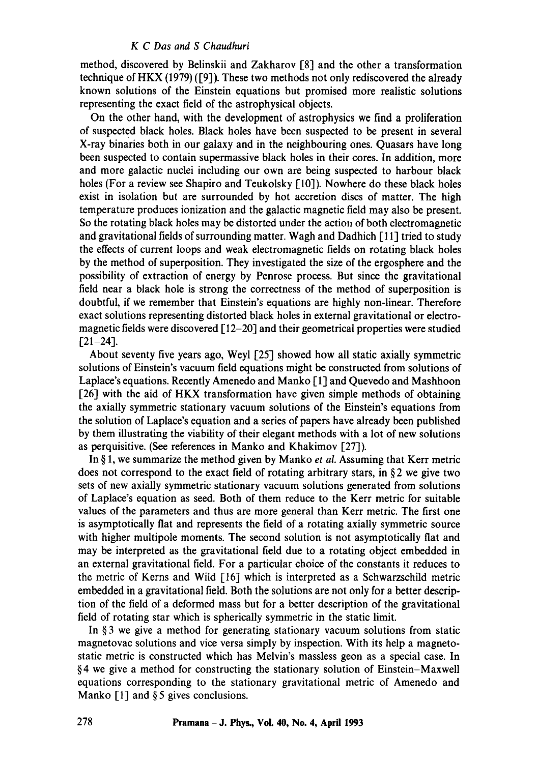method, discovered by Belinskii and Zakharov [8] and the other a transformation technique of HKX (1979) ([9]). These two methods not only rediscovered the already known solutions of the Einstein equations but promised more realistic solutions representing the exact field of the astrophysical objects.

On the other hand, with the development of astrophysics we find a proliferation of suspected black holes. Black holes have been suspected to be present in several X-ray binaries both in our galaxy and in the neighbouring ones. Quasars have long been suspected to contain supermassive black holes in their cores. In addition, more and more galactic nuclei including our own are being suspected to harbour black holes (For a review see Shapiro and Teukolsky [10]). Nowhere do these black holes exist in isolation but are surrounded by hot accretion discs of matter. The high temperature produces ionization and the galactic magnetic field may also be present. So the rotating black holes may be distorted under the action of both electromagnetic and gravitational fields of surrounding matter. Wagh and Dadhich [ 11] tried to study the effects of current loops and weak electromagnetic fields on rotating black holes by the method of superposition. They investigated the size of the ergosphere and the possibility of extraction of energy by Penrose process. But since the gravitational field near a black hole is strong the correctness of the method of superposition is doubtful, if we remember that Einstein's equations are highly non-linear. Therefore exact solutions representing distorted black holes in external gravitational or electromagnetic fields were discovered [ 12-20] and their geometrical properties were studied  $[21-24]$ .

About seventy five years ago, Weyl [25] showed how all static axially symmetric solutions of Einstein's vacuum field equations might be constructed from solutions of Laplace's equations. Recently Amenedo and Manko [1] and Quevedo and Mashhoon [26] with the aid of HKX transformation have given simple methods of obtaining the axially symmetric stationary vacuum solutions of the Einstein's equations from the solution of Laplace's equation and a series of papers have already been published by them illustrating the viability of their elegant methods with a lot of new solutions as perquisitive. (See references in Manko and Khakimov [27]).

In § 1, we summarize the method given by Manko *et al.* Assuming that Kerr metric does not correspond to the exact field of rotating arbitrary stars, in  $\S$ 2 we give two sets of new axially symmetric stationary vacuum solutions generated from solutions of Laplace's equation as seed. Both of them reduce to the Kerr metric for suitable values of the parameters and thus are more general than Kerr metric. The first one is asymptotically flat and represents the field of a rotating axially symmetric source with higher multipole moments. The second solution is not asymptotically flat and may be interpreted as the gravitational field due to a rotating object embedded in an external gravitational field. For a particular choice of the constants it reduces to the metric of Kerns and Wild [16] which is interpreted as a Schwarzschild metric embedded in a gravitational field. Both the solutions are not only for a better description of the field of a deformed mass but for a better description of the gravitational field of rotating star which is spherically symmetric in the static limit.

In  $\S$ 3 we give a method for generating stationary vacuum solutions from static magnetovac solutions and vice versa simply by inspection. With its help a magnetostatic metric is constructed which has Melvin's massless geon as a special case. In §4 we give a method for constructing the stationary solution of Einstein-Maxwell equations corresponding to the stationary gravitational metric of Amenedo and Manko  $\lceil 1 \rceil$  and §5 gives conclusions.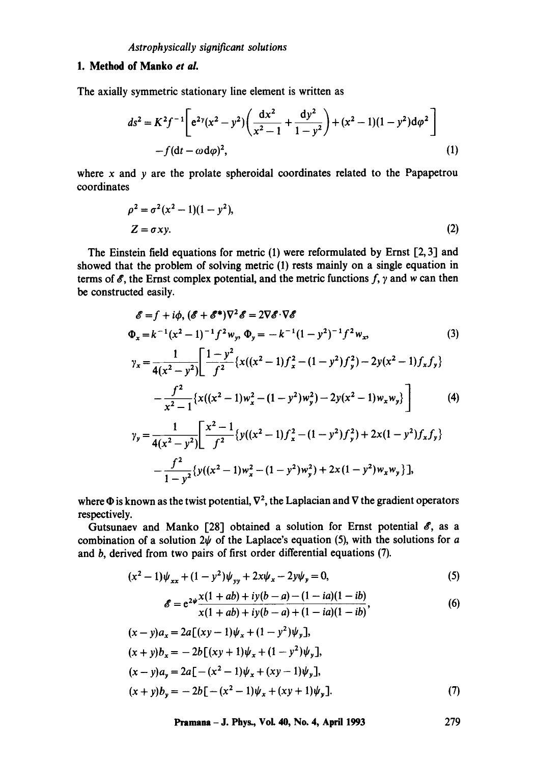## **1. Method of Manko** *et al.*

The axially symmetric stationary line element is written as

$$
ds^{2} = K^{2} f^{-1} \left[ e^{2\gamma} (x^{2} - y^{2}) \left( \frac{dx^{2}}{x^{2} - 1} + \frac{dy^{2}}{1 - y^{2}} \right) + (x^{2} - 1)(1 - y^{2}) d\varphi^{2} \right] - f (dt - \omega d\varphi)^{2},
$$
\n(1)

where  $x$  and  $y$  are the prolate spheroidal coordinates related to the Papapetrou coordinates

$$
\rho^2 = \sigma^2(x^2 - 1)(1 - y^2),
$$
  
\n
$$
Z = \sigma xy.
$$
 (2)

The Einstein field equations for metric (1) were reformulated by Ernst [2, 3] and showed that the problem of solving metric (1) rests mainly on a single equation in terms of  $\mathscr E$ , the Ernst complex potential, and the metric functions f,  $\gamma$  and w can then be constructed easily.

$$
\mathscr{E} = f + i\phi, (\mathscr{E} + \mathscr{E}^*)\nabla^2 \mathscr{E} = 2\nabla \mathscr{E} \cdot \nabla \mathscr{E}
$$
  

$$
\Phi_x = k^{-1}(x^2 - 1)^{-1} f^2 w_y, \Phi_y = -k^{-1}(1 - y^2)^{-1} f^2 w_x,
$$
 (3)

$$
\gamma_x = \frac{1}{4(x^2 - y^2)} \left[ \frac{1 - y^2}{f^2} \{ x((x^2 - 1)f_x^2 - (1 - y^2)f_y^2) - 2y(x^2 - 1)f_x f_y \} - \frac{f^2}{x^2 - 1} \{ x((x^2 - 1)w_x^2 - (1 - y^2)w_y^2) - 2y(x^2 - 1)w_x w_y \} \right]
$$
(4)

$$
\gamma_y = \frac{1}{4(x^2 - y^2)} \left[ \frac{x^2 - 1}{f^2} \{ y((x^2 - 1)f_x^2 - (1 - y^2)f_y^2) + 2x(1 - y^2)f_x f_y \} - \frac{f^2}{1 - y^2} \{ y((x^2 - 1)w_x^2 - (1 - y^2)w_y^2) + 2x(1 - y^2)w_x w_y \} \right],
$$

where  $\Phi$  is known as the twist potential,  $\nabla^2$ , the Laplacian and  $\nabla$  the gradient operators respectively.

Gutsunaev and Manko [28] obtained a solution for Ernst potential  $\mathscr{E}$ , as a combination of a solution  $2\bar{\psi}$  of the Laplace's equation (5), with the solutions for a and b, derived from two pairs of first order differential equations (7).

$$
(x2 - 1)\psi_{xx} + (1 - y2)\psi_{yy} + 2x\psi_x - 2y\psi_y = 0,
$$
 (5)

$$
\mathscr{E} = e^{2\psi} \frac{x(1+ab) + iy(b-a) - (1-ia)(1-ib)}{x(1+ab) + iy(b-a) + (1-ia)(1-ib)},
$$
\n(6)

$$
(x - y)a_x = 2a[(xy - 1)\psi_x + (1 - y^2)\psi_y],
$$
  
\n
$$
(x + y)b_x = -2b[(xy + 1)\psi_x + (1 - y^2)\psi_y],
$$
  
\n
$$
(x - y)a_y = 2a[-(x^2 - 1)\psi_x + (xy - 1)\psi_y],
$$
  
\n
$$
(x + y)b_y = -2b[-(x^2 - 1)\psi_x + (xy + 1)\psi_y].
$$
\n(7)

**Pramana - J. Phys., Vol. 40, No. 4, April 1993 279**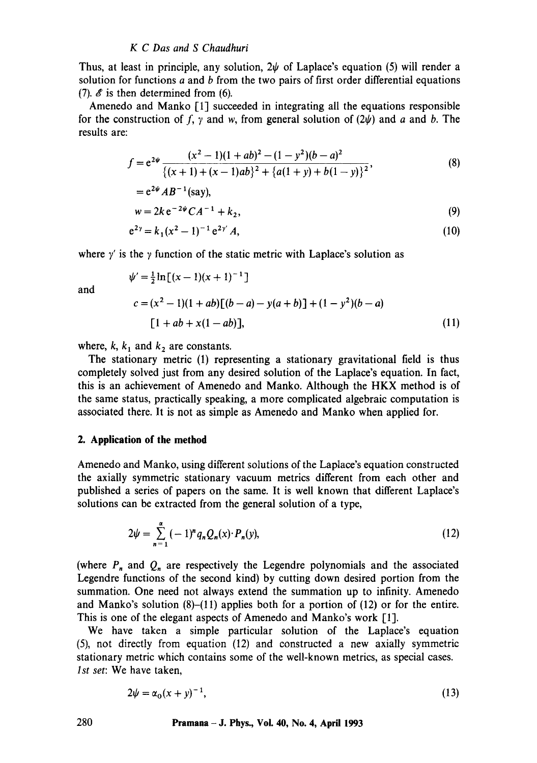Thus, at least in principle, any solution,  $2\psi$  of Laplace's equation (5) will render a solution for functions  $a$  and  $b$  from the two pairs of first order differential equations (7).  $\&$  is then determined from (6).

Amenedo and Manko [1] succeeded in integrating all the equations responsible for the construction of f, y and w, from general solution of  $(2\psi)$  and a and b. The results are:

$$
f = e^{2\psi} \frac{(x^2 - 1)(1 + ab)^2 - (1 - y^2)(b - a)^2}{\{(x + 1) + (x - 1)ab\}^2 + \{a(1 + y) + b(1 - y)\}^2},
$$
\n(8)

$$
= e^{2\psi}AB^{-1}(\text{say}),
$$

$$
w = 2k e^{-2\psi} C A^{-1} + k_2, \tag{9}
$$

$$
e^{2\gamma} = k_1(x^2 - 1)^{-1} e^{2\gamma'} A,
$$
 (10)

where  $\gamma'$  is the  $\gamma$  function of the static metric with Laplace's solution as

$$
\psi' = \frac{1}{2} \ln \left[ (x - 1)(x + 1)^{-1} \right]
$$
  
\n
$$
c = (x^2 - 1)(1 + ab) \left[ (b - a) - y(a + b) \right] + (1 - y^2)(b - a)
$$
  
\n
$$
\left[ 1 + ab + x(1 - ab) \right], \tag{11}
$$

where,  $k$ ,  $k_1$  and  $k_2$  are constants.

and

The stationary metric (1) representing a stationary gravitational field is thus completely solved just from any desired solution of the Laplace's equation. In fact, this is an achievement of Amenedo and Manko. Although the HKX method is of the same status, practically speaking, a more complicated algebraic computation is associated there. It is not as simple as Amenedo and Manko when applied for.

## **2. Application of the method**

Amenedo and Manko, using different solutions of the Laptace's equation constructed the axially symmetric stationary vacuum metrics different from each other and published a series of papers on the same. It is well known that different Laplace's solutions can be extracted from the general solution of a type,

$$
2\psi = \sum_{n=1}^{\alpha} (-1)^n q_n Q_n(x) \cdot P_n(y), \qquad (12)
$$

(where  $P_n$  and  $Q_n$  are respectively the Legendre polynomials and the associated Legendre functions of the second kind) by cutting down desired portion from the summation. One need not always extend the summation up to infinity. Amenedo and Manko's solution  $(8)$ – $(11)$  applies both for a portion of  $(12)$  or for the entire. This is one of the elegant aspects of Amenedo and Manko's work [1].

We have taken a simple particular solution of the Laplace's equation (5), not directly from equation (12) and constructed a new axially symmetric stationary metric which contains some of the well-known metrics, as special cases. *Ist set:* We have taken,

$$
2\psi = \alpha_0(x+y)^{-1},\tag{13}
$$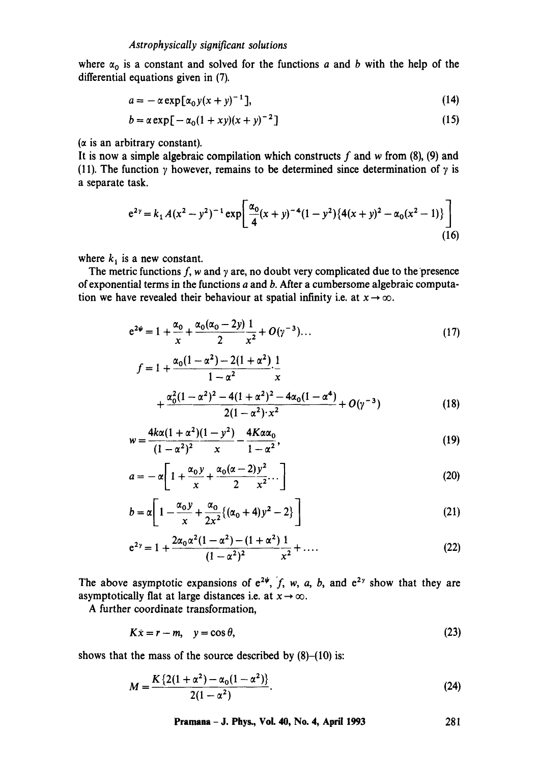where  $\alpha_0$  is a constant and solved for the functions a and b with the help of the differential equations given in (7).

$$
a = -\alpha \exp[\alpha_0 y(x+y)^{-1}], \qquad (14)
$$

$$
b = \alpha \exp[-\alpha_0(1 + xy)(x + y)^{-2}]
$$
 (15)

 $(\alpha \text{ is an arbitrary constant}).$ 

It is now a simple algebraic compilation which constructs  $f$  and w from (8), (9) and (11). The function  $\gamma$  however, remains to be determined since determination of  $\gamma$  is a separate task.

$$
e^{2y} = k_1 A(x^2 - y^2)^{-1} \exp\left[\frac{\alpha_0}{4}(x+y)^{-4}(1-y^2)\{4(x+y)^2 - \alpha_0(x^2-1)\}\right]
$$
(16)

where  $k_1$  is a new constant.

The metric functions  $f$ , w and  $\gamma$  are, no doubt very complicated due to the presence of exponential terms in the functions a and b. After a cumbersome algebraic computation we have revealed their behaviour at spatial infinity i.e. at  $x \rightarrow \infty$ .

$$
e^{2\psi} = 1 + \frac{\alpha_0}{x} + \frac{\alpha_0(\alpha_0 - 2y)}{2} \frac{1}{x^2} + O(\gamma^{-3}) \dots \tag{17}
$$

$$
f = 1 + \frac{\alpha_0 (1 - \alpha^2) - 2(1 + \alpha^2)}{1 - \alpha^2} \cdot \frac{1}{x}
$$
  
+ 
$$
\frac{\alpha_0^2 (1 - \alpha^2)^2 - 4(1 + \alpha^2)^2 - 4\alpha_0 (1 - \alpha^4)}{2(1 - \alpha^2) \cdot x^2} + O(\gamma^{-3})
$$
(18)

$$
w = \frac{4k\alpha(1+\alpha^2)(1-y^2)}{(1-\alpha^2)^2} - \frac{4K\alpha\alpha_0}{1-\alpha^2},
$$
\n(19)

$$
a = -\alpha \left[ 1 + \frac{\alpha_0 y}{x} + \frac{\alpha_0 (\alpha - 2) y^2}{2 x^2} \cdots \right]
$$
 (20)

$$
b = \alpha \left[ 1 - \frac{\alpha_0 y}{x} + \frac{\alpha_0}{2x^2} \{ (\alpha_0 + 4) y^2 - 2 \} \right]
$$
 (21)

$$
e^{2y} = 1 + \frac{2\alpha_0 \alpha^2 (1 - \alpha^2) - (1 + \alpha^2) 1}{(1 - \alpha^2)^2} x^2 + \dots
$$
 (22)

The above asymptotic expansions of  $e^{2\psi}$ , f, w, a, b, and  $e^{2\gamma}$  show that they are asymptotically flat at large distances i.e. at  $x \to \infty$ .

A further coordinate transformation,

$$
Kx = r - m, \quad y = \cos \theta,
$$
\n<sup>(23)</sup>

shows that the mass of the source described by  $(8)$ – $(10)$  is:

$$
M = \frac{K\left\{2(1+\alpha^2) - \alpha_0(1-\alpha^2)\right\}}{2(1-\alpha^2)}.
$$
 (24)

**Pramana - J. Phys., Vol. 40, No. 4, April 1993 281**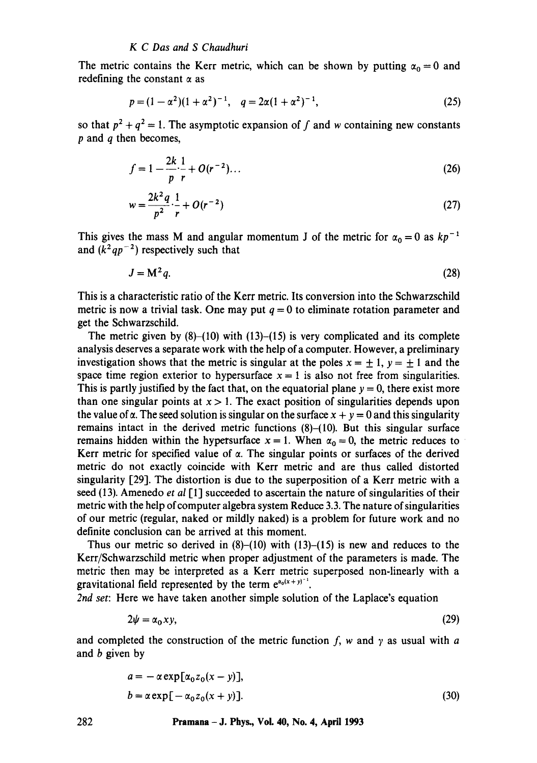The metric contains the Kerr metric, which can be shown by putting  $\alpha_0 = 0$  and redefining the constant  $\alpha$  as

$$
p = (1 - \alpha^2)(1 + \alpha^2)^{-1}, \quad q = 2\alpha(1 + \alpha^2)^{-1}, \tag{25}
$$

so that  $p^2 + q^2 = 1$ . The asymptotic expansion of f and w containing new constants  $p$  and  $q$  then becomes,

$$
f = 1 - \frac{2k}{p} \cdot \frac{1}{r} + O(r^{-2}) \dots \tag{26}
$$

$$
w = \frac{2k^2 q}{p^2} \cdot \frac{1}{r} + O(r^{-2})
$$
 (27)

This gives the mass M and angular momentum J of the metric for  $\alpha_0 = 0$  as  $kp^{-1}$ and  $(k^2qp^{-2})$  respectively such that

$$
J = M^2 q. \tag{28}
$$

This is a characteristic ratio of the Kerr metric. Its conversion into the Schwarzschild metric is now a trivial task. One may put  $q = 0$  to eliminate rotation parameter and get the Schwarzschild.

The metric given by  $(8)$ - $(10)$  with  $(13)$ - $(15)$  is very complicated and its complete analysis deserves a separate work with the help of a computer. However, a preliminary investigation shows that the metric is singular at the poles  $x = \pm 1$ ,  $y = \pm 1$  and the space time region exterior to hypersurface  $x = 1$  is also not free from singularities. This is partly justified by the fact that, on the equatorial plane  $y = 0$ , there exist more than one singular points at  $x > 1$ . The exact position of singularities depends upon the value of  $\alpha$ . The seed solution is singular on the surface  $x + y = 0$  and this singularity remains intact in the derived metric functions  $(8)$ - $(10)$ . But this singular surface remains hidden within the hypersurface  $x = 1$ . When  $\alpha_0 = 0$ , the metric reduces to Kerr metric for specified value of  $\alpha$ . The singular points or surfaces of the derived metric do not exactly coincide with Kerr metric and are thus called distorted singularity [29]. The distortion is due to the superposition of a Kerr metric with a seed (13). Amenedo *et al* [1] succeeded to ascertain the nature of singularities of their metric with the help of computer algebra system Reduce 3.3. The nature of singularities of our metric (regular, naked or mildly naked) is a problem for future work and no definite conclusion can be arrived at this moment.

Thus our metric so derived in  $(8)$ – $(10)$  with  $(13)$ – $(15)$  is new and reduces to the Kerr/Schwarzschild metric when proper adjustment of the parameters is made. The metric then may be interpreted as a Kerr metric superposed non-linearly with a gravitational field represented by the term  $e^{\alpha_0(x+y)^{-1}}$ .

*2nd set:* Here we have taken another simple solution of the Laplace's equation

$$
2\psi = \alpha_0 xy,\tag{29}
$$

and completed the construction of the metric function f, w and  $\gamma$  as usual with a and b given by

$$
a = -\alpha \exp[\alpha_0 z_0(x - y)],
$$
  
\n
$$
b = \alpha \exp[-\alpha_0 z_0(x + y)].
$$
\n(30)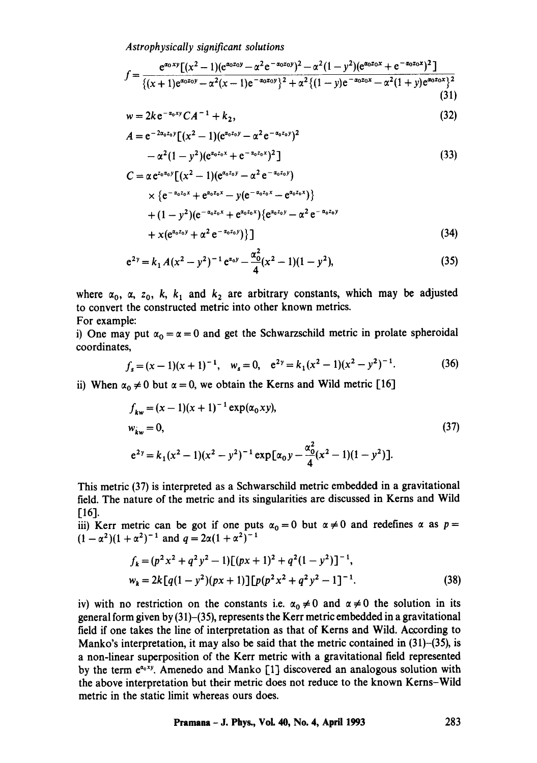$$
f = \frac{e^{a_0 xy} [(x^2 - 1)(e^{a_0 z_0 y} - \alpha^2 e^{-a_0 z_0 y})^2 - \alpha^2 (1 - y^2)(e^{a_0 z_0 x} + e^{-a_0 z_0 x})^2]}{\{(x + 1)e^{a_0 z_0 y} - \alpha^2 (x - 1)e^{-a_0 z_0 y}\}^2 + \alpha^2 \{(1 - y)e^{-a_0 z_0 x} - \alpha^2 (1 + y)e^{a_0 z_0 x}\}^2}
$$
(31)

$$
w = 2ke^{-\alpha_0 xy}CA^{-1} + k_2,
$$
\n(32)

$$
A = e^{-2\alpha_0 z_0 y} [(x^2 - 1)(e^{\alpha_0 z_0 y} - \alpha^2 e^{-\alpha_0 z_0 y})^2 - \alpha^2 (1 - y^2)(e^{\alpha_0 z_0 x} + e^{-\alpha_0 z_0 x})^2]
$$
\n(33)

$$
C = \alpha e^{z_0 \alpha_0 y} [(x^2 - 1)(e^{\alpha_0 z_0 y} - \alpha^2 e^{-\alpha_0 z_0 y})
$$
  
\n
$$
\times \{e^{-\alpha_0 z_0 x} + e^{\alpha_0 z_0 x} - y(e^{-\alpha_0 z_0 x} - e^{\alpha_0 z_0 x})\}
$$
  
\n
$$
+ (1 - y^2)(e^{-\alpha_0 z_0 x} + e^{\alpha_0 z_0 x}) \{e^{\alpha_0 z_0 y} - \alpha^2 e^{-\alpha_0 z_0 y} + x(e^{\alpha_0 z_0 y} + \alpha^2 e^{-\alpha_0 z_0 y})\}]
$$
\n(34)

$$
e^{2y} = k_1 A(x^2 - y^2)^{-1} e^{\alpha_0 y} - \frac{\alpha_0^2}{4} (x^2 - 1)(1 - y^2),
$$
 (35)

where  $\alpha_0$ ,  $\alpha$ ,  $z_0$ ,  $k$ ,  $k_1$  and  $k_2$  are arbitrary constants, which may be adjusted to convert the constructed metric into other known metrics. For example:

i) One may put  $\alpha_0 = \alpha = 0$  and get the Schwarzschild metric in prolate spheroidal coordinates,

$$
f_s = (x - 1)(x + 1)^{-1}, \quad w_s = 0, \quad e^{2\gamma} = k_1(x^2 - 1)(x^2 - y^2)^{-1}.
$$
 (36)

ii) When  $\alpha_0 \neq 0$  but  $\alpha = 0$ , we obtain the Kerns and Wild metric [16]

$$
f_{kw} = (x - 1)(x + 1)^{-1} \exp(\alpha_0 xy),
$$
  
\n
$$
w_{kw} = 0,
$$
  
\n
$$
e^{2y} = k_1(x^2 - 1)(x^2 - y^2)^{-1} \exp[\alpha_0 y - \frac{\alpha_0^2}{4}(x^2 - 1)(1 - y^2)].
$$
\n(37)

This metric (37) is interpreted as a Schwarschild metric embedded in a gravitational field. The nature of the metric and its singularities are discussed in Kerns and Wild [16].

iii) Kerr metric can be got if one puts  $\alpha_0 = 0$  but  $\alpha \neq 0$  and redefines  $\alpha$  as  $p =$  $(1 - \alpha^2)(1 + \alpha^2)^{-1}$  and  $q = 2\alpha(1 + \alpha^2)^{-1}$ 

$$
f_k = (p^2 x^2 + q^2 y^2 - 1) [(px + 1)^2 + q^2 (1 - y^2)]^{-1},
$$
  
\n
$$
w_k = 2k [q(1 - y^2)(px + 1)] [p(p^2 x^2 + q^2 y^2 - 1]^{-1}.
$$
\n(38)

iv) with no restriction on the constants i.e.  $\alpha_0 \neq 0$  and  $\alpha \neq 0$  the solution in its general form given by (31)-(35), represents the Kerr metric embedded in a gravitational field if one takes the line of interpretation as that of Kerns and Wild. According to Manko's interpretation, it may also be said that the metric contained in (31)-(35), is a non-linear superposition of the Kerr metric with a gravitational field represented by the term  $e^{a_0xy}$ . Amenedo and Manko [1] discovered an analogous solution with the above interpretation but their metric does not reduce to the known Kerns-Wild metric in the static limit whereas ours does.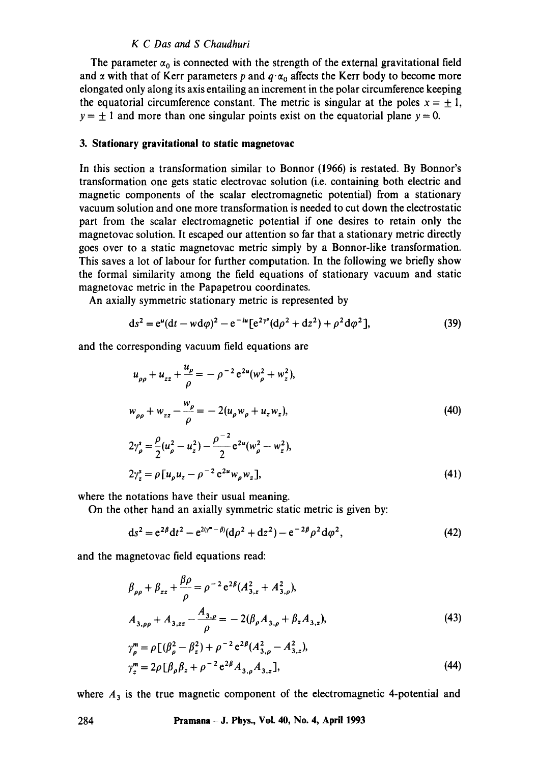The parameter  $\alpha_0$  is connected with the strength of the external gravitational field and  $\alpha$  with that of Kerr parameters p and  $q \cdot \alpha_0$  affects the Kerr body to become more elongated only along its axis entailing an increment in the polar circumference keeping the equatorial circumference constant. The metric is singular at the poles  $x = \pm 1$ ,  $y = \pm 1$  and more than one singular points exist on the equatorial plane  $y = 0$ .

## **3. Stationary gravitational to static magnetovac**

In this section a transformation similar to Bonnor (1966) is restated. By Bonnor's transformation one gets static electrovac solution (i.e. containing both electric and magnetic components of the scalar electromagnetic potential) from a stationary vacuum solution and one more transformation is needed to cut down the electrostatic part from the scalar electromagnetic potential if one desires to retain only the magnetovac solution. It escaped our attention so far that a stationary metric directly goes over to a static magnetovac metric simply by a Bonnor-like transformation. This saves a lot of labour for further computation. In the following we briefly show the formal similarity among the field equations of stationary vacuum and static magnetovac metric in the Papapetrou coordinates.

An axially symmetric stationary metric is represented by

$$
ds^{2} = e^{u}(dt - w d\varphi)^{2} - e^{-iu}[e^{2\gamma^{2}}(d\rho^{2} + dz^{2}) + \rho^{2} d\varphi^{2}],
$$
\n(39)

and the corresponding vacuum field equations are

$$
u_{\rho\rho} + u_{zz} + \frac{u_{\rho}}{\rho} = -\rho^{-2} e^{2u} (w_{\rho}^2 + w_z^2),
$$
  

$$
w_{\rho\rho} + w_{zz} - \frac{w_{\rho}}{\rho} = -2(u_{\rho} w_{\rho} + u_z w_z),
$$
 (40)

$$
2\gamma_{\rho}^{s} = \frac{\rho}{2}(u_{\rho}^{2} - u_{z}^{2}) - \frac{\rho^{-2}}{2}e^{2u}(w_{\rho}^{2} - w_{z}^{2}),
$$
  
\n
$$
2\gamma_{z}^{s} = \rho[u_{\rho}u_{z} - \rho^{-2}e^{2u}w_{\rho}w_{z}],
$$
\n(41)

where the notations have their usual meaning.

On the other hand an axially symmetric static metric is given by:

$$
ds^{2} = e^{2\beta} dt^{2} - e^{2(\gamma^{m} - \beta)} (d\rho^{2} + dz^{2}) - e^{-2\beta} \rho^{2} d\varphi^{2}, \qquad (42)
$$

and the magnetovac field equations read:

$$
\beta_{\rho\rho} + \beta_{zz} + \frac{\beta \rho}{\rho} = \rho^{-2} e^{2\beta} (A_{3,z}^2 + A_{3,\rho}^2),
$$
  
\n
$$
A_{3,\rho\rho} + A_{3,zz} - \frac{A_{3,\rho}}{\rho} = -2(\beta_{\rho} A_{3,\rho} + \beta_z A_{3,z}),
$$
\n(43)

$$
\gamma_{\rho}^{m} = \rho \left[ (\beta_{\rho}^{2} - \beta_{z}^{2}) + \rho^{-2} e^{2\beta} (A_{3,\rho}^{2} - A_{3,z}^{2}), \right. \n\gamma_{z}^{m} = 2\rho \left[ \beta_{\rho} \beta_{z} + \rho^{-2} e^{2\beta} A_{3,\rho} A_{3,z} \right],
$$
\n(44)

where  $A_3$  is the true magnetic component of the electromagnetic 4-potential and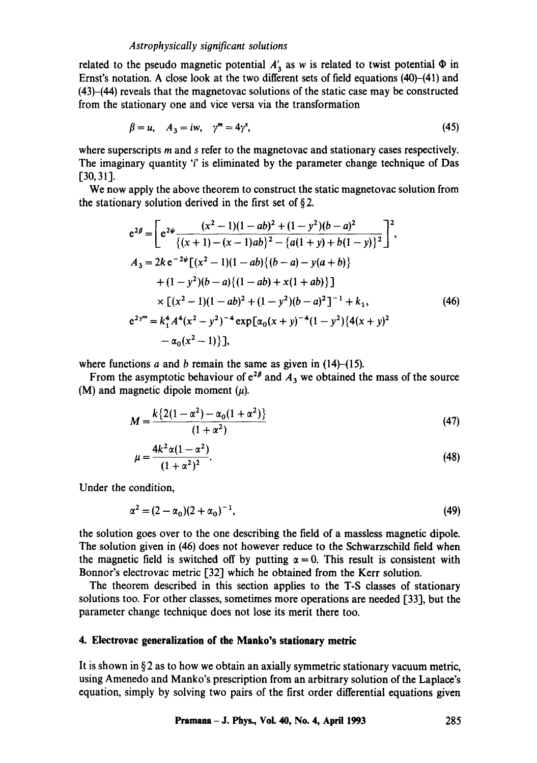related to the pseudo magnetic potential  $A'_3$  as w is related to twist potential  $\Phi$  in Ernst's notation. A close look at the two different sets of field equations (40)-(41) and (43)-(44) reveals that the magnetovac solutions of the static case may be constructed from the stationary one and vice versa via the transformation

$$
\beta = u, \quad A_3 = iw, \quad \gamma^m = 4\gamma^s, \tag{45}
$$

where superscripts m and s refer to the magnetovac and stationary cases respectively. The imaginary quantity  $i$  is eliminated by the parameter change technique of Das [30,311.

We now apply the above theorem to construct the static magnetovac solution from the stationary solution derived in the first set of  $\S 2$ .

$$
e^{2\beta} = \left[ e^{2\psi} \frac{(x^2 - 1)(1 - ab)^2 + (1 - y^2)(b - a)^2}{\{(x + 1) - (x - 1)ab\}^2 - \{a(1 + y) + b(1 - y)\}^2} \right]^2,
$$
  
\n
$$
A_3 = 2ke^{-2\psi} \left[ (x^2 - 1)(1 - ab)\{(b - a) - y(a + b)\} + (1 - y^2)(b - a)\{(1 - ab) + x(1 + ab)\} \right]
$$
  
\n
$$
\times \left[ (x^2 - 1)(1 - ab)^2 + (1 - y^2)(b - a)^2 \right]^{-1} + k_1,
$$
  
\n
$$
e^{2\gamma m} = k_1^4 A^4 (x^2 - y^2)^{-4} \exp\left[ \alpha_0 (x + y)^{-4} (1 - y^2)\{4(x + y)^2 - \alpha_0 (x^2 - 1)\} \right],
$$
  
\n(46)

where functions a and b remain the same as given in  $(14)$ – $(15)$ .

From the asymptotic behaviour of  $e^{2\beta}$  and  $A_3$  we obtained the mass of the source (M) and magnetic dipole moment  $(\mu)$ .

$$
M = \frac{k\{2(1-\alpha^2) - \alpha_0(1+\alpha^2)\}}{(1+\alpha^2)}
$$
\n(47)

$$
\mu = \frac{4k^2 \alpha (1 - \alpha^2)}{(1 + \alpha^2)^2}.
$$
\n(48)

Under the condition,

$$
\alpha^2 = (2 - \alpha_0)(2 + \alpha_0)^{-1},\tag{49}
$$

the solution goes over to the one describing the field of a massless magnetic dipole. The solution given in (46) does not however reduce to the Schwarzschild field when the magnetic field is switched off by putting  $\alpha = 0$ . This result is consistent with Bonnor's electrovac metric [321 which he obtained from the Kerr solution.

The theorem described in this section applies to the T-S classes of stationary solutions too. For other classes, sometimes more operations are needed [33], but the parameter change technique does not lose its merit there too.

## **4. Electrovac generalization of the Manko's stationary metric**

It is shown in § 2 as to how we obtain an axially symmetric stationary vacuum metric, using Amenedo and Manko's prescription from an arbitrary solution of the Laplace's equation, simply by solving two pairs of the first order differential equations given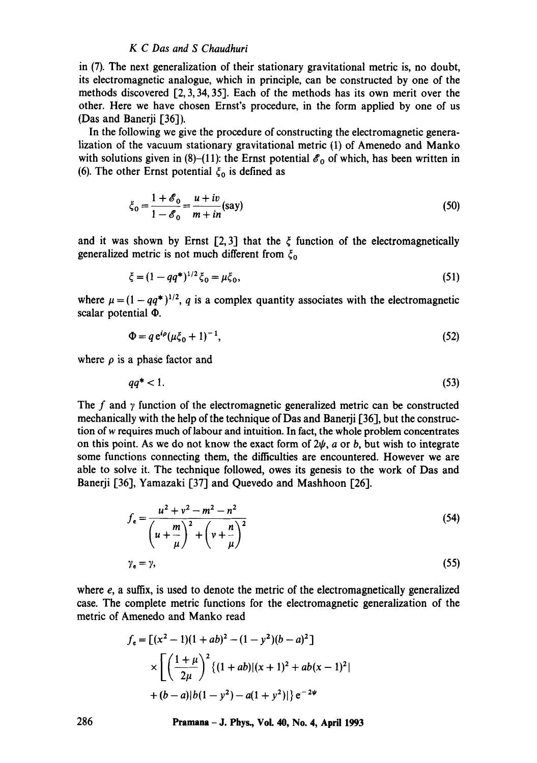in (7). The next generalization of their stationary gravitational metric is, no doubt, its electromagnetic analogue, which in principle, can be constructed by one of the methods discovered [2, 3, 34, 35]. Each of the methods has its own merit over the other. Here we have chosen Ernst's procedure, in the form applied by one of us (Das and Banerji [36]).

In the following we give the procedure of constructing the electromagnetic generalization of the vacuum stationary gravitational metric (1) of Amenedo and Manko with solutions given in (8)–(11): the Ernst potential  $\mathscr{E}_0$  of which, has been written in (6). The other Ernst potential  $\xi_0$  is defined as

$$
\xi_0 = \frac{1 + \mathscr{E}_0}{1 - \mathscr{E}_0} = \frac{u + iv}{m + in} \text{(say)}
$$
\n(50)

and it was shown by Ernst [2,3] that the  $\xi$  function of the electromagnetically generalized metric is not much different from  $\xi_0$ 

$$
\xi = (1 - qq^*)^{1/2} \xi_0 = \mu \xi_0,\tag{51}
$$

where  $\mu = (1 - qq^*)^{1/2}$ , q is a complex quantity associates with the electromagnetic scalar potential  $\Phi$ .

$$
\Phi = q e^{i\rho} (\mu \xi_0 + 1)^{-1}, \tag{52}
$$

where  $\rho$  is a phase factor and

$$
qq^*<1.\tag{53}
$$

The f and  $\gamma$  function of the electromagnetic generalized metric can be constructed mechanically with the help of the technique of Das and Banerji [36], but the construction of w requires much of labour and intuition. In fact, the whole problem concentrates on this point. As we do not know the exact form of  $2\psi$ , a or b, but wish to integrate some functions connecting them, the difficulties are encountered. However we are able to solve it. The technique followed, owes its genesis to the work of Das and Banerji [36], Yamazaki [37] and Quevedo and Mashhoon [26].

$$
f_e = \frac{u^2 + v^2 - m^2 - n^2}{\left(u + \frac{m}{\mu}\right)^2 + \left(v + \frac{n}{\mu}\right)^2}
$$
(54)  

$$
\gamma_e = \gamma,
$$
(55)

where  $e$ , a suffix, is used to denote the metric of the electromagnetically generalized case. The complete metric functions for the electromagnetic generalization of the metric of Amenedo and Manko read

$$
f_e = \left[ (x^2 - 1)(1 + ab)^2 - (1 - y^2)(b - a)^2 \right]
$$
  
 
$$
\times \left[ \left( \frac{1 + \mu}{2\mu} \right)^2 \{ (1 + ab)(x + 1)^2 + ab(x - 1)^2 \} + (b - a) |b(1 - y^2) - a(1 + y^2)| \} e^{-2\psi} \right]
$$

**286 Pramana - J. Phys., Voi. 40, No. 4, April 1993**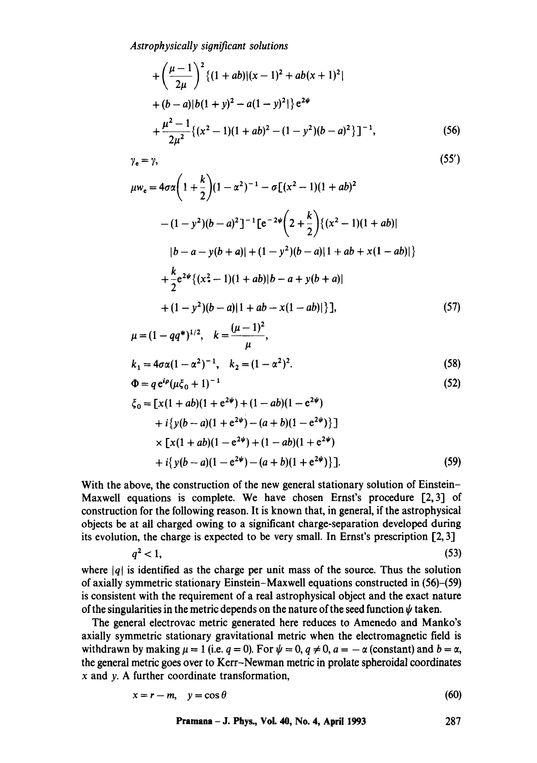$$
+\left(\frac{\mu-1}{2\mu}\right)^2 \{(1+ab)|(x-1)^2 + ab(x+1)^2|+(b-a)|b(1+y)^2 - a(1-y)^2|\}e^{2\psi} +\frac{\mu^2-1}{2\mu^2} \{(x^2-1)(1+ab)^2 - (1-y^2)(b-a)^2\}^{-1},
$$
(56)

$$
\gamma_e = \gamma,
$$
\n
$$
\mu w_e = 4\sigma \alpha \left( 1 + \frac{k}{2} \right) (1 - \alpha^2)^{-1} - \sigma \left[ (x^2 - 1)(1 + ab)^2 \right]
$$
\n
$$
(55')
$$

$$
-(1-y^2)(b-a)^2]^{-1} [e^{-2\psi} (2+\frac{x}{2})\{(x^2-1)(1+ab)|
$$
  
\n
$$
|b-a-y(b+a)|+(1-y^2)(b-a)|1+ab+x(1-ab)|\}
$$
  
\n
$$
+\frac{k}{2}e^{2\psi}\{(x^2-1)(1+ab)|b-a+y(b+a)|
$$
  
\n
$$
+(1-y^2)(b-a)|1+ab-x(1-ab)|\}.
$$
\n(57)

$$
\mu = (1 - qq^*)^{1/2}, \quad k = \frac{(\mu - 1)^2}{\mu},
$$
  
\n
$$
k_1 = 4\sigma\alpha(1 - \alpha^2)^{-1}, \quad k_2 = (1 - \alpha^2)^2.
$$
 (58)

$$
\Phi = q e^{i\rho} (\mu \xi_0 + 1)^{-1}
$$
 (52)

$$
\xi_0 = [x(1+ab)(1+e^{2\psi}) + (1-ab)(1-e^{2\psi}) \n+ i\{y(b-a)(1+e^{2\psi}) - (a+b)(1-e^{2\psi})\}] \n\times [x(1+ab)(1-e^{2\psi}) + (1-ab)(1+e^{2\psi}) \n+ i\{y(b-a)(1-e^{2\psi}) - (a+b)(1+e^{2\psi})\}].
$$
\n(59)

With the above, the construction of the new general stationary solution of Einstein-Maxwell equations is complete. We have chosen Ernst's procedure [2,31 of construction for the following reason. It is known that, in general, if the astrophysical objects be at all charged owing to a significant charge-separation developed during its evolution, the charge is expected to be very small. In Ernst's prescription [2, 31

$$
q^2 < 1,\tag{53}
$$

where  $|q|$  is identified as the charge per unit mass of the source. Thus the solution of axially symmetric stationary Einstein-Maxwell equations constructed in (56)-(59) is consistent with the requirement of a real astrophysical object and the exact nature of the singularities in the metric depends on the nature of the seed function  $\psi$  taken.

The general electrovac metric generated here reduces to Amenedo and Manko's axially symmetric stationary gravitational metric when the electromagnetic field is withdrawn by making  $\mu = 1$  (i.e.  $q = 0$ ). For  $\psi = 0$ ,  $q \neq 0$ ,  $a = -\alpha$  (constant) and  $b = \alpha$ , the general metric goes over to Kerr-Newman metric in prolate spheroidal coordinates  $x$  and  $y$ . A further coordinate transformation,

$$
x = r - m, \quad y = \cos \theta \tag{60}
$$

**Pramana - J. Phys., Vol. 40, No. 4, April 1993 287**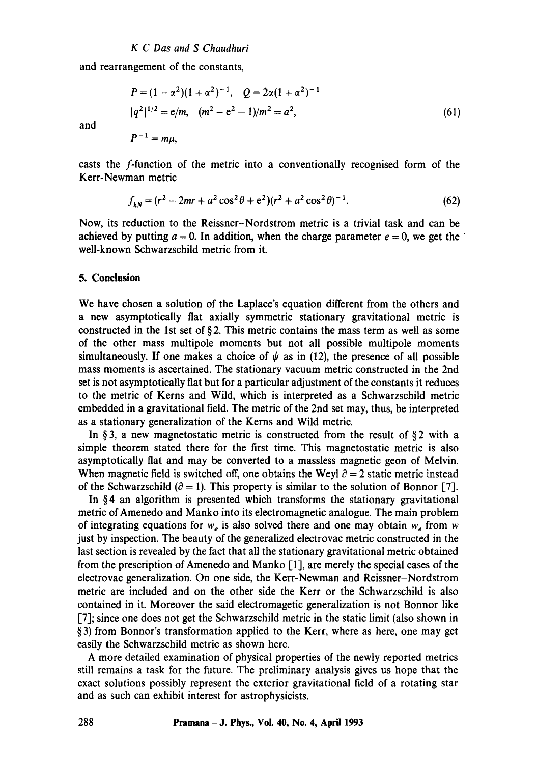and rearrangement of the constants,

$$
P = (1 - \alpha^2)(1 + \alpha^2)^{-1}, \quad Q = 2\alpha(1 + \alpha^2)^{-1}
$$
  

$$
|q^2|^{1/2} = e/m, \quad (m^2 - e^2 - 1)/m^2 = a^2,
$$
 (61)

and

$$
P^{-1}=m\mu,
$$

casts the f-function of the metric into a conventionally recognised form of the Kerr-Newman metric

$$
f_{kN} = (r^2 - 2mr + a^2\cos^2\theta + e^2)(r^2 + a^2\cos^2\theta)^{-1}.
$$
 (62)

Now, its reduction to the Reissner-Nordstrom metric is a trivial task and can be achieved by putting  $a = 0$ . In addition, when the charge parameter  $e = 0$ , we get the well-known Schwarzschild metric from it.

## **5. Conclusion**

We have chosen a solution of the Laplace's equation different from the others and a new asymptotically fiat axially symmetric stationary gravitational metric is constructed in the 1st set of  $\S 2$ . This metric contains the mass term as well as some of the other mass multipole moments but not all possible multipole moments simultaneously. If one makes a choice of  $\psi$  as in (12), the presence of all possible mass moments is ascertained. The stationary vacuum metric constructed in the 2nd set is not asymptotically flat but for a particular adjustment of the constants it reduces to the metric of Kerns and Wild, which is interpreted as a Schwarzschild metric embedded in a gravitational field. The metric of the 2nd set may, thus, be interpreted as a stationary generalization of the Kerns and Wild metric.

In § 3, a new magnetostatic metric is constructed from the result of § 2 with a simple theorem stated there for the first time. This magnetostatic metric is also asymptotically flat and may be converted to a massless magnetic geon of Melvin. When magnetic field is switched off, one obtains the Weyl  $\partial = 2$  static metric instead of the Schwarzschild ( $\partial = 1$ ). This property is similar to the solution of Bonnor [7].

In §4 an algorithm is presented which transforms the stationary gravitational metric of Amenedo and Manko into its electromagnetic analogue. The main problem of integrating equations for  $w_e$  is also solved there and one may obtain  $w_e$  from w just by inspection. The beauty of the generalized electrovac metric constructed in the last section is revealed by the fact that all the stationary gravitational metric obtained from the prescription of Amenedo and Manko [1], are merely the special cases of the electrovac generalization. On one side, the Kerr-Newman and Reissner-Nordstrom metric are included and on the other side the Kerr or the Schwarzschild is also contained in it. Moreover the said electromagetic generalization is not Bonnor like [7]; since one does not get the Schwarzschild metric in the static limit (also shown in § 3) from Bonnor's transformation applied to the Kerr, where as here, one may get easily the Schwarzschild metric as shown here.

A more detailed examination of physical properties of the newly reported metrics still remains a task for the future. The preliminary analysis gives us hope that the exact solutions possibly represent the exterior gravitational field of a rotating star and as such can exhibit interest for astrophysicists.